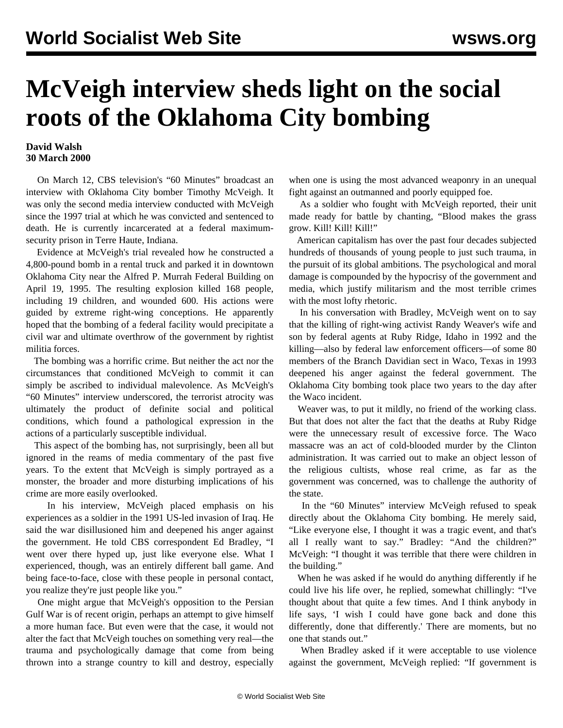## **McVeigh interview sheds light on the social roots of the Oklahoma City bombing**

## **David Walsh 30 March 2000**

 On March 12, CBS television's "60 Minutes" broadcast an interview with Oklahoma City bomber Timothy McVeigh. It was only the second media interview conducted with McVeigh since the 1997 trial at which he was convicted and sentenced to death. He is currently incarcerated at a federal maximumsecurity prison in Terre Haute, Indiana.

 Evidence at McVeigh's trial revealed how he constructed a 4,800-pound bomb in a rental truck and parked it in downtown Oklahoma City near the Alfred P. Murrah Federal Building on April 19, 1995. The resulting explosion killed 168 people, including 19 children, and wounded 600. His actions were guided by extreme right-wing conceptions. He apparently hoped that the bombing of a federal facility would precipitate a civil war and ultimate overthrow of the government by rightist militia forces.

 The bombing was a horrific crime. But neither the act nor the circumstances that conditioned McVeigh to commit it can simply be ascribed to individual malevolence. As McVeigh's "60 Minutes" interview underscored, the terrorist atrocity was ultimately the product of definite social and political conditions, which found a pathological expression in the actions of a particularly susceptible individual.

 This aspect of the bombing has, not surprisingly, been all but ignored in the reams of media commentary of the past five years. To the extent that McVeigh is simply portrayed as a monster, the broader and more disturbing implications of his crime are more easily overlooked.

 In his interview, McVeigh placed emphasis on his experiences as a soldier in the 1991 US-led invasion of Iraq. He said the war disillusioned him and deepened his anger against the government. He told CBS correspondent Ed Bradley, "I went over there hyped up, just like everyone else. What I experienced, though, was an entirely different ball game. And being face-to-face, close with these people in personal contact, you realize they're just people like you."

 One might argue that McVeigh's opposition to the Persian Gulf War is of recent origin, perhaps an attempt to give himself a more human face. But even were that the case, it would not alter the fact that McVeigh touches on something very real—the trauma and psychologically damage that come from being thrown into a strange country to kill and destroy, especially when one is using the most advanced weaponry in an unequal fight against an outmanned and poorly equipped foe.

 As a soldier who fought with McVeigh reported, their unit made ready for battle by chanting, "Blood makes the grass grow. Kill! Kill! Kill!"

 American capitalism has over the past four decades subjected hundreds of thousands of young people to just such trauma, in the pursuit of its global ambitions. The psychological and moral damage is compounded by the hypocrisy of the government and media, which justify militarism and the most terrible crimes with the most lofty rhetoric.

 In his conversation with Bradley, McVeigh went on to say that the killing of right-wing activist Randy Weaver's wife and son by federal agents at Ruby Ridge, Idaho in 1992 and the killing—also by federal law enforcement officers—of some 80 members of the Branch Davidian sect in Waco, Texas in 1993 deepened his anger against the federal government. The Oklahoma City bombing took place two years to the day after the Waco incident.

 Weaver was, to put it mildly, no friend of the working class. But that does not alter the fact that the deaths at Ruby Ridge were the unnecessary result of excessive force. The Waco massacre was an act of cold-blooded murder by the Clinton administration. It was carried out to make an object lesson of the religious cultists, whose real crime, as far as the government was concerned, was to challenge the authority of the state.

 In the "60 Minutes" interview McVeigh refused to speak directly about the Oklahoma City bombing. He merely said, "Like everyone else, I thought it was a tragic event, and that's all I really want to say." Bradley: "And the children?" McVeigh: "I thought it was terrible that there were children in the building."

 When he was asked if he would do anything differently if he could live his life over, he replied, somewhat chillingly: "I've thought about that quite a few times. And I think anybody in life says, 'I wish I could have gone back and done this differently, done that differently.' There are moments, but no one that stands out."

 When Bradley asked if it were acceptable to use violence against the government, McVeigh replied: "If government is